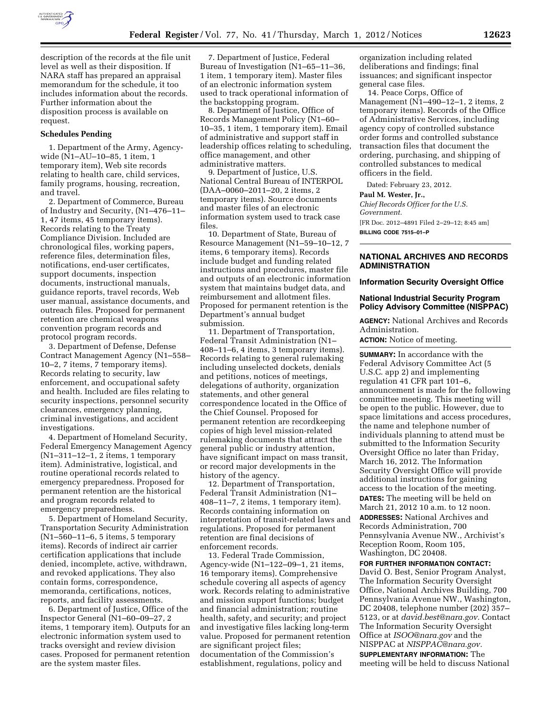

description of the records at the file unit level as well as their disposition. If NARA staff has prepared an appraisal memorandum for the schedule, it too includes information about the records. Further information about the disposition process is available on request.

#### **Schedules Pending**

1. Department of the Army, Agencywide (N1–AU–10–85, 1 item, 1 temporary item), Web site records relating to health care, child services, family programs, housing, recreation, and travel.

2. Department of Commerce, Bureau of Industry and Security, (N1–476–11– 1, 47 items, 45 temporary items). Records relating to the Treaty Compliance Division. Included are chronological files, working papers, reference files, determination files, notifications, end-user certificates, support documents, inspection documents, instructional manuals, guidance reports, travel records, Web user manual, assistance documents, and outreach files. Proposed for permanent retention are chemical weapons convention program records and protocol program records.

3. Department of Defense, Defense Contract Management Agency (N1–558– 10–2, 7 items, 7 temporary items). Records relating to security, law enforcement, and occupational safety and health. Included are files relating to security inspections, personnel security clearances, emergency planning, criminal investigations, and accident investigations.

4. Department of Homeland Security, Federal Emergency Management Agency (N1–311–12–1, 2 items, 1 temporary item). Administrative, logistical, and routine operational records related to emergency preparedness. Proposed for permanent retention are the historical and program records related to emergency preparedness.

5. Department of Homeland Security, Transportation Security Administration (N1–560–11–6, 5 items, 5 temporary items). Records of indirect air carrier certification applications that include denied, incomplete, active, withdrawn, and revoked applications. They also contain forms, correspondence, memoranda, certifications, notices, reports, and facility assessments.

6. Department of Justice, Office of the Inspector General (N1–60–09–27, 2 items, 1 temporary item). Outputs for an electronic information system used to tracks oversight and review division cases. Proposed for permanent retention are the system master files.

7. Department of Justice, Federal Bureau of Investigation (N1–65–11–36, 1 item, 1 temporary item). Master files of an electronic information system used to track operational information of the backstopping program.

8. Department of Justice, Office of Records Management Policy (N1–60– 10–35, 1 item, 1 temporary item). Email of administrative and support staff in leadership offices relating to scheduling, office management, and other administrative matters.

9. Department of Justice, U.S. National Central Bureau of INTERPOL (DAA–0060–2011–20, 2 items, 2 temporary items). Source documents and master files of an electronic information system used to track case files.

10. Department of State, Bureau of Resource Management (N1–59–10–12, 7 items, 6 temporary items). Records include budget and funding related instructions and procedures, master file and outputs of an electronic information system that maintains budget data, and reimbursement and allotment files. Proposed for permanent retention is the Department's annual budget submission.

11. Department of Transportation, Federal Transit Administration (N1– 408–11–6, 4 items, 3 temporary items). Records relating to general rulemaking including unselected dockets, denials and petitions, notices of meetings, delegations of authority, organization statements, and other general correspondence located in the Office of the Chief Counsel. Proposed for permanent retention are recordkeeping copies of high level mission-related rulemaking documents that attract the general public or industry attention, have significant impact on mass transit, or record major developments in the history of the agency.

12. Department of Transportation, Federal Transit Administration (N1– 408–11–7, 2 items, 1 temporary item). Records containing information on interpretation of transit-related laws and regulations. Proposed for permanent retention are final decisions of enforcement records.

13. Federal Trade Commission, Agency-wide (N1–122–09–1, 21 items, 16 temporary items). Comprehensive schedule covering all aspects of agency work. Records relating to administrative and mission support functions; budget and financial administration; routine health, safety, and security; and project and investigative files lacking long-term value. Proposed for permanent retention are significant project files; documentation of the Commission's establishment, regulations, policy and

organization including related deliberations and findings; final issuances; and significant inspector general case files.

14. Peace Corps, Office of Management (N1–490–12–1, 2 items, 2 temporary items). Records of the Office of Administrative Services, including agency copy of controlled substance order forms and controlled substance transaction files that document the ordering, purchasing, and shipping of controlled substances to medical officers in the field.

Dated: February 23, 2012.

#### **Paul M. Wester, Jr.,**

*Chief Records Officer for the U.S. Government.*  [FR Doc. 2012–4891 Filed 2–29–12; 8:45 am] **BILLING CODE 7515–01–P** 

# **NATIONAL ARCHIVES AND RECORDS ADMINISTRATION**

**Information Security Oversight Office** 

### **National Industrial Security Program Policy Advisory Committee (NISPPAC)**

**AGENCY:** National Archives and Records Administration.

**ACTION:** Notice of meeting.

**SUMMARY:** In accordance with the Federal Advisory Committee Act (5 U.S.C. app 2) and implementing regulation 41 CFR part 101–6, announcement is made for the following committee meeting. This meeting will be open to the public. However, due to space limitations and access procedures, the name and telephone number of individuals planning to attend must be submitted to the Information Security Oversight Office no later than Friday, March 16, 2012. The Information Security Oversight Office will provide additional instructions for gaining access to the location of the meeting. **DATES:** The meeting will be held on March 21, 2012 10 a.m. to 12 noon. **ADDRESSES:** National Archives and Records Administration, 700 Pennsylvania Avenue NW., Archivist's Reception Room, Room 105, Washington, DC 20408.

# **FOR FURTHER INFORMATION CONTACT:**

David O. Best, Senior Program Analyst, The Information Security Oversight Office, National Archives Building, 700 Pennsylvania Avenue NW., Washington, DC 20408, telephone number (202) 357– 5123, or at *[david.best@nara.gov.](mailto:david.best@nara.gov)* Contact The Information Security Oversight Office at *[ISOO@nara.gov](mailto:ISOO@nara.gov)* and the NISPPAC at *[NISPPAC@nara.gov.](mailto:NISPPAC@nara.gov)* 

## **SUPPLEMENTARY INFORMATION:** The meeting will be held to discuss National